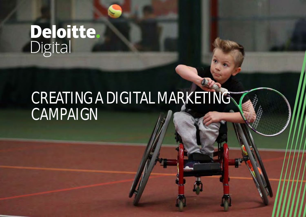# **Deloitte.**<br>Digital

# CREATING A DIGITAL MARKETING CAMPAIGN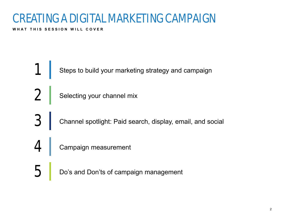### CREATING A DIGITAL MARKETING CAMPAIGN

WHAT THIS SESSION WILL COVER

1 Steps to build your marketing strategy and campaign

Selecting your channel mix

3 Channel spotlight: Paid search, display, email, and social

Campaign measurement

 $\overline{5}$  Do's and Don'ts of campaign management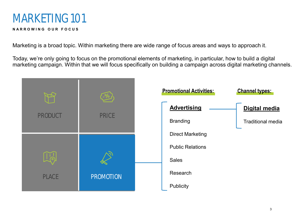### MARKETING 101

### **N A R R O W I N G O U R F O C U S**

Marketing is a broad topic. Within marketing there are wide range of focus areas and ways to approach it.

Today, we're only going to focus on the promotional elements of marketing, in particular, how to build a digital marketing campaign. Within that we will focus specifically on building a campaign across digital marketing channels.

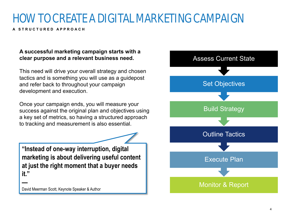## HOW TO CREATE A DIGITAL MARKETING CAMPAIGN

**A S T R U C T U R E D A P P R O A C H**

### **A successful marketing campaign starts with a clear purpose and a relevant business need.**

This need will drive your overall strategy and chosen tactics and is something you will use as a guidepost and refer back to throughout your campaign development and execution.

Once your campaign ends, you will measure your success against the original plan and objectives using a key set of metrics, so having a structured approach to tracking and measurement is also essential.

**"Instead of one-way interruption, digital marketing is about delivering useful content at just the right moment that a buyer needs it."** 

David Meerman Scott, Keynote Speaker & Author

**—**

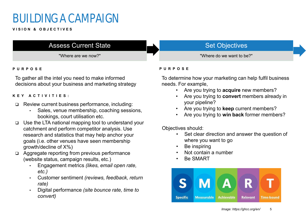### BUILDING A CAMPAIGN

**V I S I O N & O B J E C T I V E S**

### Assess Current State

"Where are we now?"

### **P U R P O S E**

To gather all the intel you need to make informed decisions about your business and marketing strategy

### **K E Y A C T I V I T I E S :**

- □ Review current business performance, including:
	- Sales, venue membership, coaching sessions, bookings, court utilisation etc.
- Use the LTA national mapping tool to understand your catchment and perform competitor analysis. Use research and statistics that may help anchor your goals (i.e. other venues have seen membership growth/decline of X%)
- □ Aggregate reporting from previous performance (website status, campaign results, etc.)
	- Engagement metrics *(likes, email open rate, etc.)*
	- Customer sentiment *(reviews, feedback, return rate)*
	- Digital performance *(site bounce rate, time to convert)*

### Set Objectives

"Where do we want to be?"

### **P U R P O S E**

To determine how your marketing can help fulfil business needs. For example,

- Are you trying to **acquire** new members?
- Are you trying to **convert** members already in your pipeline?
- Are you trying to **keep** current members?
- Are you trying to **win back** former members?

Objectives should:

- Set clear direction and answer the question of where you want to go
- Be inspiring
- Not contain a number
- Be SMART

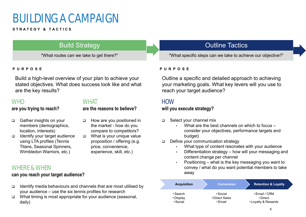### BUILDING A CAMPAIGN

#### **S T R A T E G Y & T A C T I C S**

### **Build Strategy**

"What routes can we take to get there?"

Build a high-level overview of your plan to achieve your stated objectives. What does success look like and what are the key results?

### **WHO**

### **are you trying to reach?**

### **WHAT are the reasons to believe?**

□ How are you positioned in the market - how do you compare to competitors? □ What is your unique value proposition / offering (e.g.

> price, convenience, experience, skill, etc.)

- □ Gather insights on your members (demographics, location, interests)
- $\Box$  Identify your target audience using LTA profiles (Tennis Titans, Seasonal Spinners, Wimbledon Warriors, etc.)

### WHERE & WHEN

### **can you reach your target audience?**

- $\Box$  Identify media behaviours and channels that are most utilised by your audience – use the six tennis profiles for research
- $\Box$  What timing is most appropriate for your audience (seasonal, daily)

### Outline Tactics

"What specific steps can we take to achieve our objective?"

#### **P U R P O S E P U R P O S E**

Outline a specific and detailed approach to achieving your marketing goals. What key levers will you use to reach your target audience?

### **HOW**

 $\overline{\phantom{0}}$ Z

### **will you execute strategy?**

- □ Select your channel mix
	- What are the best channels on which to focus  $$ consider your objectives, performance targets and budget)
- Define your communication strategy
	- What type of content resonates with your audience
	- Differentiation strategy how will your messaging and content change per channel
	- Positioning what is the key messaging you want to convey / what do you want potential members to take away

| <b>Acquisition</b> | <b>Conversion</b> | <b>Retention &amp; Loyalty</b> |
|--------------------|-------------------|--------------------------------|
| $\cdot$ Search     | $\cdot$ Social    | • Email / CRM                  |
| • Display          | • Direct Sales    | • Direct                       |
| • Social           | $\cdot$ Fmail     | • Loyalty & Rewards            |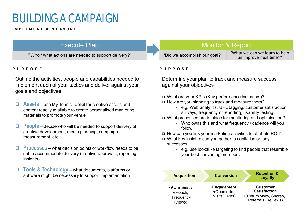### BUILDING A CAMPAIGN

#### **I M P L E M E N T & M E A S U R E**

### Execute Plan

""Who / what actions are needed to support delivery?"

Outline the activities, people and capabilities needed to implement each of your tactics and deliver against your goals and objectives

- **Assets** use My Tennis Toolkit for creative assets and content readily available to create personalised marketing materials to promote your venue
- **People** decide who will be needed to support delivery of creative development, media planning, campaign measurement, etc.
- **Processes** what decision points or workflow needs to be set to accommodate delivery (creative approvals, reporting insights)
- **Tools & Technology**  what documents, platforms or software might be necessary to support implementation

### Monitor & Report

"Did we accomplish our goal?" "What we can we learn to help us improve next time?"

#### **P U R P O S E P U R P O S E**

Determine your plan to track and measure success against your objectives

□ What are your KPIs (Key performance indicators)?

- $\Box$  How are you planning to track and measure them?
	- e.g. Web analytics, URL tagging, customer satisfaction surveys, frequency of reporting, usability testing)
- □ What processes are in place for monitoring and optimisation?
	- Who owns this and what frequency / cadence will you follow

 $\Box$  How can you link your marketing activities to attribute ROI?

- What key insights can you gather to capitalise on any successes
	- e.g. use lookalike targeting to find people that resemble your best converting members

| <b>Acquisition</b>                                          | <b>Conversion</b>                                   | <b>Retention &amp;</b><br>Loyalty                                                          |
|-------------------------------------------------------------|-----------------------------------------------------|--------------------------------------------------------------------------------------------|
| <b>Awareness</b><br>$\cdot$ (Reach,<br>Frequency<br>•Views) | <b>Engagement</b><br>•(Open rate,<br>Visits, Likes) | <b>.Customer</b><br><b>Satisfaction</b><br>•(Return visits, Shares,<br>Referrals, Reviews) |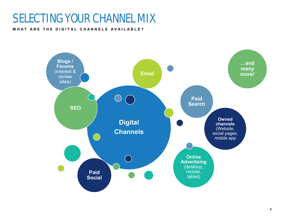### SELECTING YOUR CHANNEL MIX

### WHAT ARE THE DIGITAL CHANNELS AVAILABLE?

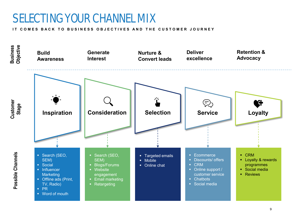### SELECTING YOUR CHANNEL MIX

**IT COMES BACK TO BUSINESS OBJECTIVES AND THE CUSTOMER JOURNEY** 

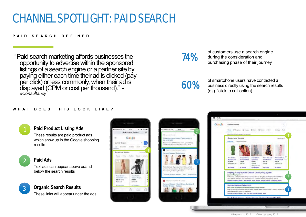### CHANNEL SPOTLIGHT: PAID SEARCH

#### **P A I D S E A R C H D E F I N E D**

"Paid search marketing affords businesses the opportunity to advertise within the sponsored listings of a search engine or a partner site by paying either each time their ad is clicked (pay per click) or less commonly, when their ad is displayed (CPM or cost per thousand)." *eConsultancy*

### 74%

of customers use a search engine during the consideration and purchasing phase of their journey

60%

of smartphone users have contacted a business directly using the search results (e.g. "click to call option)

#### **W H A T D O E S T H I S L O O K L I K E ?**



### **Paid Product Listing Ads**

These results are paid product ads which show up in the Google shopping results.

- - **Paid Ads**

Text ads can appear above or/and below the search results



**Organic Search Results**

These links will appear under the ads





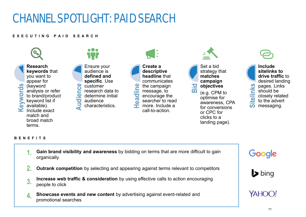### CHANNEL SPOTLIGHT: PAID SEARCH

#### **E X E C U T I N G P A I D S E A R C H**



- **Gain brand visibility and awareness** by bidding on terms that are more difficult to gain organically **1.**
- **Outrank competition** by selecting and appearing against terms relevant to competitors **2.**
- **Increase web traffic & consideration** by using effective calls to action encouraging people to click **3.**
- **Showcase events and new content** by advertising against event-related and promotional searches **4.**

Google



YAHOO!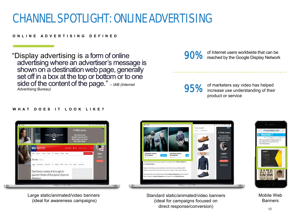### CHANNEL SPOTLIGHT: ONLINE ADVERTISING

#### **O N L I N E A D V E R T I S I N G D E F I N E D**

"Display advertising is a form of online advertising where an advertiser's message is shown on a destination web page, generally set off in a box at the top or bottom or to one side of the content of the page." – *IAB (Internet Advertising Bureau)*

### 90%

of Internet users worldwide that can be reached by the Google Display Network

95%

of marketers say video has helped increase use understanding of their product or service

#### **WHAT DOES IT LOOK LIKE?**



Large static/animated/video banners (ideal for awareness campaigns)



Standard static/animated/video banners (ideal for campaigns focused on direct response/conversion)



Mobile Web **Banners**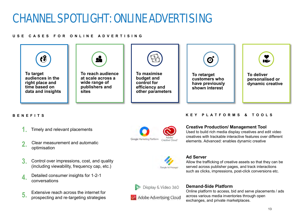### CHANNEL SPOTLIGHT: ONLINE ADVERTISING

#### **U S E C A S E S F O R O N L I N E A D V E R T I S I N G**



### **B E N E F I T S K E Y P L A T F O R M S & T O O L S**

- Timely and relevant placements **1.**
- Clear measurement and automatic optimisation **2.**
- Control over impressions, cost, and quality (including viewability, frequency cap, etc.) **3.**
- Detailed consumer insights for 1-2-1 conversations **4.**
- Extensive reach across the internet for prospecting and re-targeting strategies **5.**

Google Marketing Platform Creative Cloud

#### **Creative Production/ Management Tool**

Used to build rich media display creatives and edit video creatives with trackable interactive features over different elements. Advanced: enables dynamic creative

Allow the trafficking of creative assets so that they can be served across publisher pages, and track interactions such as clicks, impressions, post-click conversions etc.



### Display & Video 360



### **Demand-Side Platform**

**Ad Server**

Online platform to access, bid and serve placements / ads across various media inventories through open exchanges, and private marketplaces.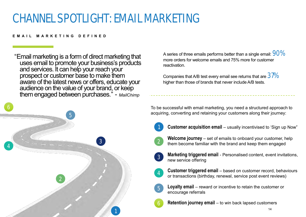### CHANNEL SPOTLIGHT: EMAIL MARKETING

#### **EMAIL MARKETING DEFINED**

"Email marketing is a form of direct marketing that uses email to promote your business's products and services. It can help your reach your prospect or customer base to make them aware of the latest news or offers, educate your audience on the value of your brand, or keep them engaged between purchases." - *MailChimp*



A series of three emails performs better than a single email:  $90\%$ more orders for welcome emails and 75% more for customer reactivation.

Companies that A/B test every email see returns that are  $37\%$ higher than those of brands that never include A/B tests.

To be successful with email marketing, you need a structured approach to acquiring, converting and retaining your customers along their journey:

1

**Customer acquisition email** – usually incentivised to 'Sign up Now"



**Welcome journey** – set of emails to onboard your customer, help them become familiar with the brand and keep them engaged



**Marketing triggered email** - Personalised content, event invitations, new service offering



5

**Customer triggered email** – based on customer record, behaviours or transactions (birthday, renewal, service post event reviews)

- **Loyalty email**  reward or incentive to retain the customer or encourage referrals
- **Retention journey email** to win back lapsed customers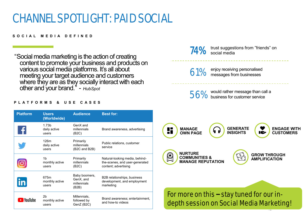### CHANNEL SPOTLIGHT: PAID SOCIAL

### **S O C I A L M E D I A D E F I N E D**

"Social media marketing is the action of creating content to promote your business and products on various social media platforms. It's all about meeting your target audience and customers where they are as they socially interact with each other and your brand." - *HubSpot*

#### **P L A T F O R M S & U S E C A S E S**

| <b>Platform</b>               | <b>Users</b><br>(Worldwide)                | <b>Audience</b>                                    | <b>Best for:</b>                                                                         |
|-------------------------------|--------------------------------------------|----------------------------------------------------|------------------------------------------------------------------------------------------|
|                               | 1.73 <sub>b</sub><br>daily active<br>users | GenX and<br>millennials<br>(B2C)                   | Brand awareness, advertising                                                             |
|                               | 126m<br>daily active<br>users              | Primarily<br>millennials<br>(B2C and B2B)          | Public relations, customer<br>service                                                    |
|                               | 1 <sub>b</sub><br>monthly active<br>users  | Primarily<br>millennials<br>(B2C)                  | Natural-looking media, behind-<br>the-scenes, and user-generated<br>content; advertising |
|                               | 675m<br>monthly active<br>users            | Baby boomers,<br>GenX, and<br>millennials<br>(B2B) | B2B relationships, business<br>development, and employment<br>marketing                  |
| $\blacktriangleright$ YouTube | 2 <sub>b</sub><br>monthly active<br>users  | Millennials,<br>followed by<br>GenZ (B2C)          | Brand awareness; entertainment,<br>and how-to videos                                     |

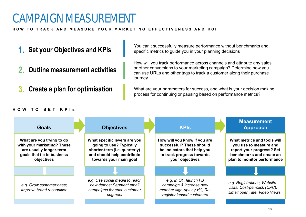### CAMPAIGN MEASUREMENT

### HOW TO TRACK AND MEASURE YOUR MARKETING EFFECTIVENESS AND ROI

- **1. Set your Objectives and KPIs**
- **2. Outline measurement activities**
- **3. Create a plan for optimisation**

#### You can't successfully measure performance without benchmarks and specific metrics to guide you in your planning decisions

How will you track performance across channels and attribute any sales or other conversions to your marketing campaign? Determine how you can use URLs and other tags to track a customer along their purchase journey

What are your parameters for success, and what is your decision making process for continuing or pausing based on performance metrics?

### **H O W T O S E T K P I s**

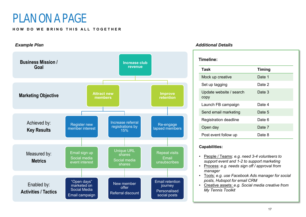### PLAN ON A PAGE

#### **HOW DO WE BRING THIS ALL TOGETHER**



| Task                            | <b>Timing</b> |  |
|---------------------------------|---------------|--|
| Mock up creative                | Date 1        |  |
| Set up tagging                  | Date 2        |  |
| Update website / search<br>copy | Date 3        |  |
| Launch FB campaign              | Date 4        |  |
| Send email marketing            | Date 5        |  |
| <b>Registration deadline</b>    | Date 6        |  |
| Open day                        | Date 7        |  |
| Post event follow up            | Date 8        |  |

#### **Capabilities:**

- People / Teams: *e.g. need 3-4 volunteers to support event and 1-2 to support marketing*
- Process: *e.g. needs sign off / approval from manager*
- Tools: *e.g. use Facebook Ads manager for social posts, Hubspot for email CRM*
- Creative assets: *e.g. Social media creative from My Tennis Toolkit*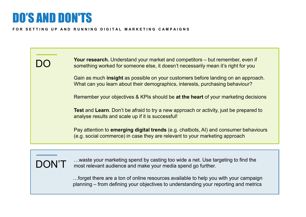### DO'S AND DON'TS

#### **FOR SETTING UP AND RUNNING DIGITAL MARKETING CAMPAIGNS**

DO Gain as much **insight** as possible on your customers before landing on an approach. What can you learn about their demographics, interests, purchasing behaviour? Pay attention to **emerging digital trends** (e.g. chatbots, AI) and consumer behaviours (e.g. social commerce) in case they are relevant to your marketing approach **Test** and **Learn**. Don't be afraid to try a new approach or activity, just be prepared to analyse results and scale up if it is successful! **Your research.** Understand your market and competitors – but remember, even if something worked for someone else, it doesn't necessarily mean it's right for you Remember your objectives & KPIs should be **at the heart** of your marketing decisions



…waste your marketing spend by casting too wide a net. Use targeting to find the most relevant audience and make your media spend go further.

…forget there are a ton of online resources available to help you with your campaign planning – from defining your objectives to understanding your reporting and metrics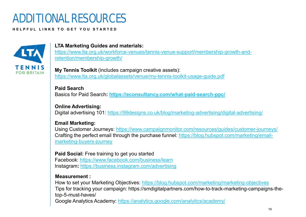### ADDITIONAL RESOURCES

#### **H E L P F U L L I N K S T O G E T Y O U S T A R T E D**



### **LTA Marketing Guides and materials:**

[https://www.lta.org.uk/workforce-venues/tennis-venue-support/membership-growth-and](https://www.lta.org.uk/workforce-venues/tennis-venue-support/membership-growth-and-retention/membership-growth/)[retention/membership-growth/](https://www.lta.org.uk/workforce-venues/tennis-venue-support/membership-growth-and-retention/membership-growth/)

**My Tennis Toolkit** (includes campaign creative assets): <https://www.lta.org.uk/globalassets/venue/my-tennis-toolkit-usage-guide.pdf>

**Paid Search**  Basics for Paid Search**: <https://econsultancy.com/what-paid-search-ppc/>**

**Online Advertising:**  Digital advertising 101:<https://99designs.co.uk/blog/marketing-advertising/digital-advertising/>

### **Email Marketing:**

Using Customer Journeys:<https://www.campaignmonitor.com/resources/guides/customer-journeys/> Crafting the perfect email through the purchase funnel: [https://blog.hubspot.com/marketing/email](https://blog.hubspot.com/marketing/email-marketing-buyers-journey)[marketing-buyers-journey](https://blog.hubspot.com/marketing/email-marketing-buyers-journey)

**Paid Social:** Free training to get you started

Facebook:<https://www.facebook.com/business/learn> Instagram**:** <https://business.instagram.com/advertising>

### **Measurement :**

How to set your Marketing Objectives: <https://blog.hubspot.com/marketing/marketing-objectives>

Tips for tracking your campaign: https://smdigitalpartners.com/how-to-track-marketing-campaigns-thetop-5-must-haves/

Google Analytics Academy: <https://analytics.google.com/analytics/academy/>